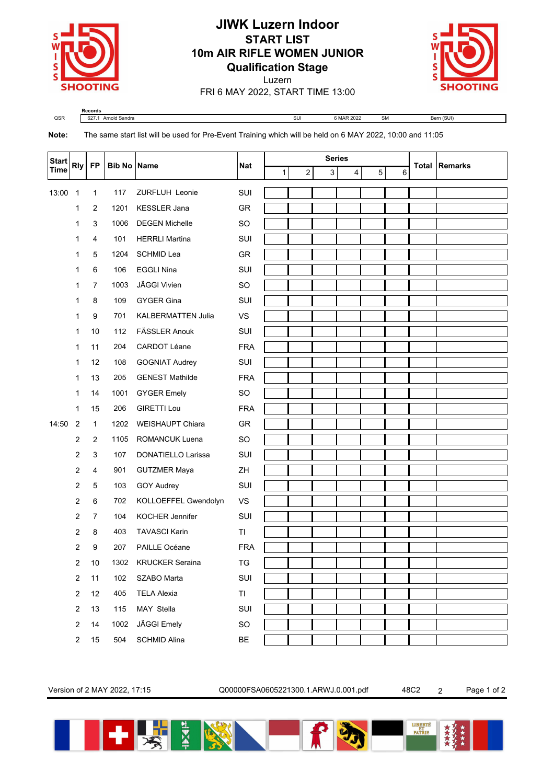

## **JIWK Luzern Indoor START LIST 10m AIR RIFLE WOMEN JUNIOR Qualification Stage**



Luzern FRI 6 MAY 2022, START TIME 13:00

**Records** QSR 627.1 Arnold Sandra SUI 6 MAR 2022 SM Bern (SUI)

**Note:** The same start list will be used for Pre-Event Training which will be held on 6 MAY 2022, 10:00 and 11:05

| <b>Start</b><br><b>Time</b> | <b>Rly</b>              | <b>FP</b>      | <b>Bib No Name</b> |                           | <b>Nat</b> | <b>Series</b> |   |   |   |   |   | <b>Total Remarks</b> |
|-----------------------------|-------------------------|----------------|--------------------|---------------------------|------------|---------------|---|---|---|---|---|----------------------|
|                             |                         |                |                    |                           |            | 1             | 2 | 3 | 4 | 5 | 6 |                      |
| 13:00                       | $\overline{1}$          | 1              | 117                | <b>ZURFLUH Leonie</b>     | SUI        |               |   |   |   |   |   |                      |
|                             | 1                       | $\overline{2}$ | 1201               | <b>KESSLER Jana</b>       | GR         |               |   |   |   |   |   |                      |
|                             | 1                       | 3              | 1006               | <b>DEGEN Michelle</b>     | <b>SO</b>  |               |   |   |   |   |   |                      |
|                             | 1                       | 4              | 101                | <b>HERRLI Martina</b>     | SUI        |               |   |   |   |   |   |                      |
|                             | 1                       | 5              | 1204               | <b>SCHMID Lea</b>         | GR         |               |   |   |   |   |   |                      |
|                             | 1                       | 6              | 106                | <b>EGGLI Nina</b>         | SUI        |               |   |   |   |   |   |                      |
|                             | 1                       | 7              | 1003               | JÄGGI Vivien              | <b>SO</b>  |               |   |   |   |   |   |                      |
|                             | 1                       | 8              | 109                | <b>GYGER Gina</b>         | SUI        |               |   |   |   |   |   |                      |
|                             | 1                       | 9              | 701                | <b>KALBERMATTEN Julia</b> | VS         |               |   |   |   |   |   |                      |
|                             | 1                       | 10             | 112                | <b>FÄSSLER Anouk</b>      | SUI        |               |   |   |   |   |   |                      |
|                             | 1                       | 11             | 204                | <b>CARDOT Léane</b>       | <b>FRA</b> |               |   |   |   |   |   |                      |
|                             | 1                       | 12             | 108                | <b>GOGNIAT Audrey</b>     | SUI        |               |   |   |   |   |   |                      |
|                             | 1                       | 13             | 205                | <b>GENEST Mathilde</b>    | <b>FRA</b> |               |   |   |   |   |   |                      |
|                             | 1                       | 14             | 1001               | <b>GYGER Emely</b>        | SO         |               |   |   |   |   |   |                      |
|                             | $\mathbf{1}$            | 15             | 206                | <b>GIRETTI Lou</b>        | <b>FRA</b> |               |   |   |   |   |   |                      |
| 14:50                       | $\overline{2}$          | $\mathbf{1}$   | 1202               | <b>WEISHAUPT Chiara</b>   | GR         |               |   |   |   |   |   |                      |
|                             | $\overline{2}$          | $\overline{2}$ | 1105               | ROMANCUK Luena            | SO         |               |   |   |   |   |   |                      |
|                             | 2                       | $\mathsf 3$    | 107                | DONATIELLO Larissa        | SUI        |               |   |   |   |   |   |                      |
|                             | 2                       | 4              | 901                | <b>GUTZMER Maya</b>       | ZH         |               |   |   |   |   |   |                      |
|                             | 2                       | 5              | 103                | GOY Audrey                | SUI        |               |   |   |   |   |   |                      |
|                             | 2                       | 6              | 702                | KOLLOEFFEL Gwendolyn      | VS         |               |   |   |   |   |   |                      |
|                             | 2                       | $\overline{7}$ | 104                | <b>KOCHER Jennifer</b>    | SUI        |               |   |   |   |   |   |                      |
|                             | 2                       | 8              | 403                | <b>TAVASCI Karin</b>      | TI         |               |   |   |   |   |   |                      |
|                             | 2                       | 9              | 207                | PAILLE Océane             | <b>FRA</b> |               |   |   |   |   |   |                      |
|                             | 2                       | 10             | 1302               | <b>KRUCKER Seraina</b>    | TG         |               |   |   |   |   |   |                      |
|                             | $\overline{c}$          | 11             | 102                | SZABO Marta               | SUI        |               |   |   |   |   |   |                      |
|                             | $\sqrt{2}$              | 12             | 405                | <b>TELA Alexia</b>        | TI         |               |   |   |   |   |   |                      |
|                             | $\sqrt{2}$              | 13             | 115                | MAY Stella                | SUI        |               |   |   |   |   |   |                      |
|                             | $\overline{\mathbf{c}}$ | 14             | 1002               | JÄGGI Emely               | SO         |               |   |   |   |   |   |                      |
|                             | $\sqrt{2}$              | 15             | 504                | SCHMID Alina              | BE         |               |   |   |   |   |   |                      |